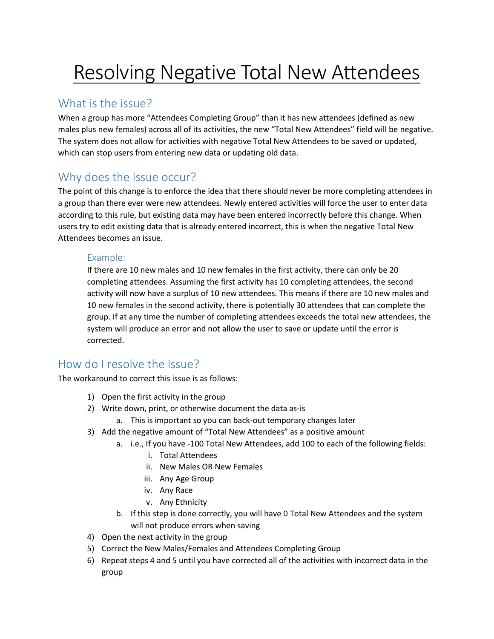# Resolving Negative Total New Attendees

## What is the issue?

When a group has more "Attendees Completing Group" than it has new attendees (defined as new males plus new females) across all of its activities, the new "Total New Attendees" field will be negative. The system does not allow for activities with negative Total New Attendees to be saved or updated, which can stop users from entering new data or updating old data.

# Why does the issue occur?

The point of this change is to enforce the idea that there should never be more completing attendees in a group than there ever were new attendees. Newly entered activities will force the user to enter data according to this rule, but existing data may have been entered incorrectly before this change. When users try to edit existing data that is already entered incorrect, this is when the negative Total New Attendees becomes an issue.

#### Example:

If there are 10 new males and 10 new females in the first activity, there can only be 20 completing attendees. Assuming the first activity has 10 completing attendees, the second activity will now have a surplus of 10 new attendees. This means if there are 10 new males and 10 new females in the second activity, there is potentially 30 attendees that can complete the group. If at any time the number of completing attendees exceeds the total new attendees, the system will produce an error and not allow the user to save or update until the error is corrected.

### How do I resolve the issue?

The workaround to correct this issue is as follows:

- 1) Open the first activity in the group
- 2) Write down, print, or otherwise document the data as-is
	- a. This is important so you can back-out temporary changes later
- 3) Add the negative amount of "Total New Attendees" as a positive amount
	- a. i.e., If you have -100 Total New Attendees, add 100 to each of the following fields:
		- i. Total Attendees
		- ii. New Males OR New Females
		- iii. Any Age Group
		- iv. Any Race
		- v. Any Ethnicity
	- b. If this step is done correctly, you will have 0 Total New Attendees and the system will not produce errors when saving
- 4) Open the next activity in the group
- 5) Correct the New Males/Females and Attendees Completing Group
- 6) Repeat steps 4 and 5 until you have corrected all of the activities with incorrect data in the group